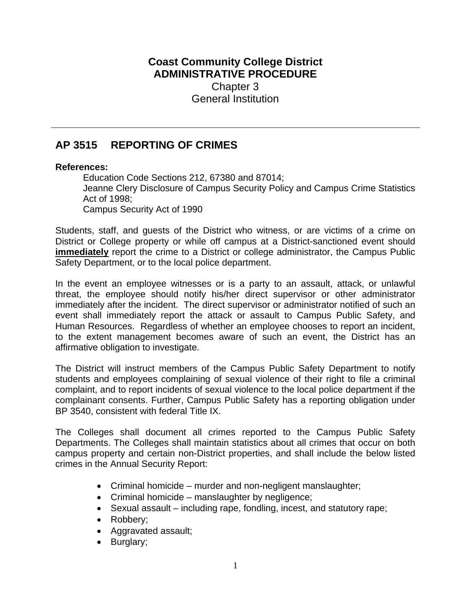## **Coast Community College District ADMINISTRATIVE PROCEDURE** Chapter 3 General Institution

# **AP 3515 REPORTING OF CRIMES**

#### **References:**

Education Code Sections 212, 67380 and 87014; Jeanne Clery Disclosure of Campus Security Policy and Campus Crime Statistics Act of 1998; Campus Security Act of 1990

Students, staff, and guests of the District who witness, or are victims of a crime on District or College property or while off campus at a District-sanctioned event should **immediately** report the crime to a District or college administrator, the Campus Public Safety Department, or to the local police department.

In the event an employee witnesses or is a party to an assault, attack, or unlawful threat, the employee should notify his/her direct supervisor or other administrator immediately after the incident. The direct supervisor or administrator notified of such an event shall immediately report the attack or assault to Campus Public Safety, and Human Resources. Regardless of whether an employee chooses to report an incident, to the extent management becomes aware of such an event, the District has an affirmative obligation to investigate.

The District will instruct members of the Campus Public Safety Department to notify students and employees complaining of sexual violence of their right to file a criminal complaint, and to report incidents of sexual violence to the local police department if the complainant consents. Further, Campus Public Safety has a reporting obligation under BP 3540, consistent with federal Title IX.

The Colleges shall document all crimes reported to the Campus Public Safety Departments. The Colleges shall maintain statistics about all crimes that occur on both campus property and certain non-District properties, and shall include the below listed crimes in the Annual Security Report:

- Criminal homicide murder and non-negligent manslaughter;
- Criminal homicide manslaughter by negligence;
- Sexual assault including rape, fondling, incest, and statutory rape;
- Robbery;
- Aggravated assault;
- Burglary;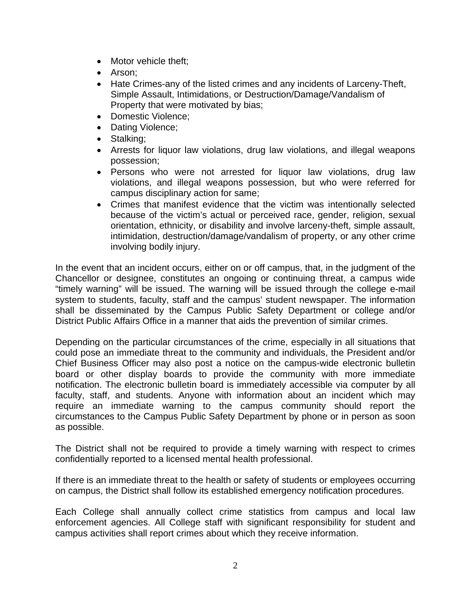- Motor vehicle theft;
- Arson;
- Hate Crimes-any of the listed crimes and any incidents of Larceny-Theft, Simple Assault, Intimidations, or Destruction/Damage/Vandalism of Property that were motivated by bias;
- Domestic Violence:
- Dating Violence;
- Stalking;
- Arrests for liquor law violations, drug law violations, and illegal weapons possession;
- Persons who were not arrested for liquor law violations, drug law violations, and illegal weapons possession, but who were referred for campus disciplinary action for same;
- Crimes that manifest evidence that the victim was intentionally selected because of the victim's actual or perceived race, gender, religion, sexual orientation, ethnicity, or disability and involve larceny-theft, simple assault, intimidation, destruction/damage/vandalism of property, or any other crime involving bodily injury.

In the event that an incident occurs, either on or off campus, that, in the judgment of the Chancellor or designee, constitutes an ongoing or continuing threat, a campus wide "timely warning" will be issued. The warning will be issued through the college e-mail system to students, faculty, staff and the campus' student newspaper. The information shall be disseminated by the Campus Public Safety Department or college and/or District Public Affairs Office in a manner that aids the prevention of similar crimes.

Depending on the particular circumstances of the crime, especially in all situations that could pose an immediate threat to the community and individuals, the President and/or Chief Business Officer may also post a notice on the campus-wide electronic bulletin board or other display boards to provide the community with more immediate notification. The electronic bulletin board is immediately accessible via computer by all faculty, staff, and students. Anyone with information about an incident which may require an immediate warning to the campus community should report the circumstances to the Campus Public Safety Department by phone or in person as soon as possible.

The District shall not be required to provide a timely warning with respect to crimes confidentially reported to a licensed mental health professional.

If there is an immediate threat to the health or safety of students or employees occurring on campus, the District shall follow its established emergency notification procedures.

Each College shall annually collect crime statistics from campus and local law enforcement agencies. All College staff with significant responsibility for student and campus activities shall report crimes about which they receive information.